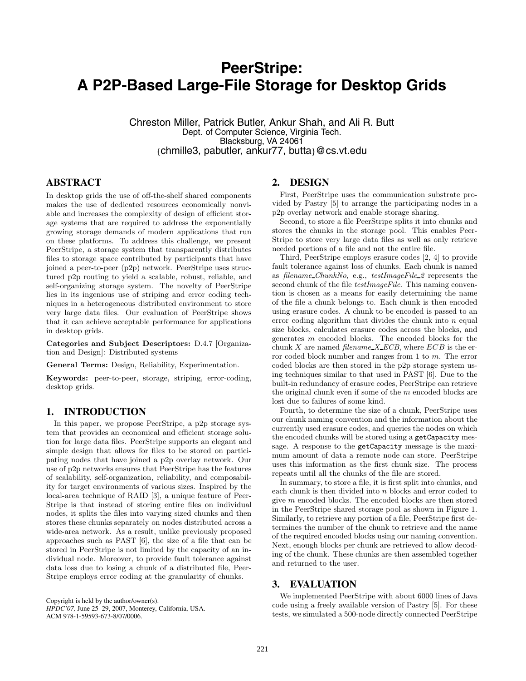# **PeerStripe: A P2P-Based Large-File Storage for Desktop Grids**

Chreston Miller, Patrick Butler, Ankur Shah, and Ali R. Butt Dept. of Computer Science, Virginia Tech. Blacksburg, VA 24061 *{*chmille3, pabutler, ankur77, butta*}*@cs.vt.edu

## **ABSTRACT**

In desktop grids the use of off-the-shelf shared components makes the use of dedicated resources economically nonviable and increases the complexity of design of efficient storage systems that are required to address the exponentially growing storage demands of modern applications that run on these platforms. To address this challenge, we present PeerStripe, a storage system that transparently distributes files to storage space contributed by participants that have joined a peer-to-peer (p2p) network. PeerStripe uses structured p2p routing to yield a scalable, robust, reliable, and self-organizing storage system. The novelty of PeerStripe lies in its ingenious use of striping and error coding techniques in a heterogeneous distributed environment to store very large data files. Our evaluation of PeerStripe shows that it can achieve acceptable performance for applications in desktop grids.

**Categories and Subject Descriptors:** D.4.7 [Organization and Design]: Distributed systems

**General Terms:** Design, Reliability, Experimentation.

**Keywords:** peer-to-peer, storage, striping, error-coding, desktop grids.

## **1. INTRODUCTION**

In this paper, we propose PeerStripe, a p2p storage system that provides an economical and efficient storage solution for large data files. PeerStripe supports an elegant and simple design that allows for files to be stored on participating nodes that have joined a p2p overlay network. Our use of p2p networks ensures that PeerStripe has the features of scalability, self-organization, reliability, and composability for target environments of various sizes. Inspired by the local-area technique of RAID [3], a unique feature of Peer-Stripe is that instead of storing entire files on individual nodes, it splits the files into varying sized chunks and then stores these chunks separately on nodes distributed across a wide-area network. As a result, unlike previously proposed approaches such as PAST [6], the size of a file that can be stored in PeerStripe is not limited by the capacity of an individual node. Moreover, to provide fault tolerance against data loss due to losing a chunk of a distributed file, Peer-Stripe employs error coding at the granularity of chunks.

Copyright is held by the author/owner(s). *HPDC'07,* June 25–29, 2007, Monterey, California, USA. ACM 978-1-59593-673-8/07/0006.

#### **2. DESIGN**

First, PeerStripe uses the communication substrate provided by Pastry [5] to arrange the participating nodes in a p2p overlay network and enable storage sharing.

Second, to store a file PeerStripe splits it into chunks and stores the chunks in the storage pool. This enables Peer-Stripe to store very large data files as well as only retrieve needed portions of a file and not the entire file.

Third, PeerStripe employs erasure codes [2, 4] to provide fault tolerance against loss of chunks. Each chunk is named as *filename ChunkNo*, e.g., *testImageFile 2* represents the second chunk of the file *testImageFile*. This naming convention is chosen as a means for easily determining the name of the file a chunk belongs to. Each chunk is then encoded using erasure codes. A chunk to be encoded is passed to an error coding algorithm that divides the chunk into *n* equal size blocks, calculates erasure codes across the blocks, and generates *m* encoded blocks. The encoded blocks for the chunk *<sup>X</sup>* are named *filename <sup>X</sup> ECB*, where *ECB* is the error coded block number and ranges from 1 to *m*. The error coded blocks are then stored in the p2p storage system using techniques similar to that used in PAST [6]. Due to the built-in redundancy of erasure codes, PeerStripe can retrieve the original chunk even if some of the *m* encoded blocks are lost due to failures of some kind.

Fourth, to determine the size of a chunk, PeerStripe uses our chunk naming convention and the information about the currently used erasure codes, and queries the nodes on which the encoded chunks will be stored using a getCapacity message. A response to the getCapacity message is the maximum amount of data a remote node can store. PeerStripe uses this information as the first chunk size. The process repeats until all the chunks of the file are stored.

In summary, to store a file, it is first split into chunks, and each chunk is then divided into *n* blocks and error coded to give *m* encoded blocks. The encoded blocks are then stored in the PeerStripe shared storage pool as shown in Figure 1. Similarly, to retrieve any portion of a file, PeerStripe first determines the number of the chunk to retrieve and the name of the required encoded blocks using our naming convention. Next, enough blocks per chunk are retrieved to allow decoding of the chunk. These chunks are then assembled together and returned to the user.

## **3. EVALUATION**

We implemented PeerStripe with about 6000 lines of Java code using a freely available version of Pastry [5]. For these tests, we simulated a 500-node directly connected PeerStripe